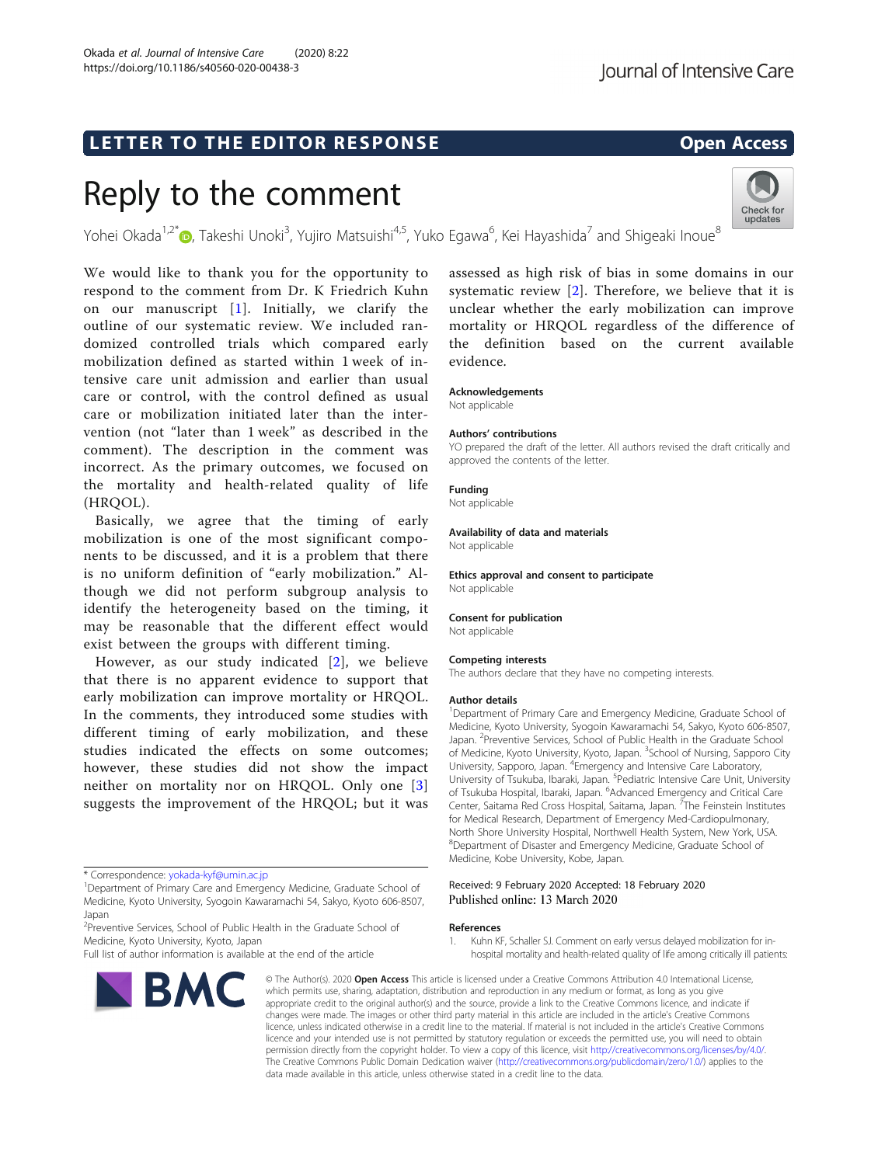# LETTER TO THE EDITOR RESPONSE EXAMPLE THE OPEN Access

# Reply to the comment

Yohei Okada<sup>1,2[\\*](http://orcid.org/0000-0002-2266-476X)</sup>©, Takeshi Unoki<sup>3</sup>, Yujiro Matsuishi<sup>4,5</sup>, Yuko Egawa<sup>6</sup>, Kei Hayashida<sup>7</sup> and Shigeaki Inoue<sup>8</sup>

We would like to thank you for the opportunity to respond to the comment from Dr. K Friedrich Kuhn on our manuscript [1]. Initially, we clarify the outline of our systematic review. We included randomized controlled trials which compared early mobilization defined as started within 1 week of intensive care unit admission and earlier than usual care or control, with the control defined as usual care or mobilization initiated later than the intervention (not "later than 1 week" as described in the comment). The description in the comment was incorrect. As the primary outcomes, we focused on the mortality and health-related quality of life (HRQOL).

Basically, we agree that the timing of early mobilization is one of the most significant components to be discussed, and it is a problem that there is no uniform definition of "early mobilization." Although we did not perform subgroup analysis to identify the heterogeneity based on the timing, it may be reasonable that the different effect would exist between the groups with different timing.

However, as our study indicated [[2](#page-1-0)], we believe that there is no apparent evidence to support that early mobilization can improve mortality or HRQOL. In the comments, they introduced some studies with different timing of early mobilization, and these studies indicated the effects on some outcomes; however, these studies did not show the impact neither on mortality nor on HRQOL. Only one [\[3](#page-1-0)] suggests the improvement of the HRQOL; but it was

<sup>2</sup>Preventive Services, School of Public Health in the Graduate School of Medicine, Kyoto University, Kyoto, Japan

Full list of author information is available at the end of the article



assessed as high risk of bias in some domains in our systematic review [[2](#page-1-0)]. Therefore, we believe that it is unclear whether the early mobilization can improve mortality or HRQOL regardless of the difference of the definition based on the current available evidence.

## Acknowledgements

Not applicable

#### Authors' contributions

YO prepared the draft of the letter. All authors revised the draft critically and approved the contents of the letter.

# Funding

Not applicable

### Availability of data and materials

Not applicable

Ethics approval and consent to participate Not applicable

#### Consent for publication

Not applicable

#### Competing interests

The authors declare that they have no competing interests.

#### Author details

<sup>1</sup>Department of Primary Care and Emergency Medicine, Graduate School of Medicine, Kyoto University, Syogoin Kawaramachi 54, Sakyo, Kyoto 606-8507, Japan. <sup>2</sup> Preventive Services, School of Public Health in the Graduate School of Medicine, Kyoto University, Kyoto, Japan. <sup>3</sup>School of Nursing, Sapporo City University, Sapporo, Japan. <sup>4</sup>Emergency and Intensive Care Laboratory, University of Tsukuba, Ibaraki, Japan. <sup>5</sup>Pediatric Intensive Care Unit, University of Tsukuba Hospital, Ibaraki, Japan. <sup>6</sup>Advanced Emergency and Critical Care Center, Saitama Red Cross Hospital, Saitama, Japan. <sup>7</sup>The Feinstein Institutes for Medical Research, Department of Emergency Med-Cardiopulmonary, North Shore University Hospital, Northwell Health System, New York, USA. 8 Department of Disaster and Emergency Medicine, Graduate School of Medicine, Kobe University, Kobe, Japan.

#### Received: 9 February 2020 Accepted: 18 February 2020 Published online: 13 March 2020

#### References

1. Kuhn KF, Schaller SJ. Comment on early versus delayed mobilization for inhospital mortality and health-related quality of life among critically ill patients:

© The Author(s), 2020 **Open Access** This article is licensed under a Creative Commons Attribution 4.0 International License, which permits use, sharing, adaptation, distribution and reproduction in any medium or format, as long as you give appropriate credit to the original author(s) and the source, provide a link to the Creative Commons licence, and indicate if changes were made. The images or other third party material in this article are included in the article's Creative Commons licence, unless indicated otherwise in a credit line to the material. If material is not included in the article's Creative Commons licence and your intended use is not permitted by statutory regulation or exceeds the permitted use, you will need to obtain permission directly from the copyright holder. To view a copy of this licence, visit [http://creativecommons.org/licenses/by/4.0/.](http://creativecommons.org/licenses/by/4.0/) The Creative Commons Public Domain Dedication waiver [\(http://creativecommons.org/publicdomain/zero/1.0/](http://creativecommons.org/publicdomain/zero/1.0/)) applies to the data made available in this article, unless otherwise stated in a credit line to the data.



<sup>\*</sup> Correspondence: [yokada-kyf@umin.ac.jp](mailto:yokada-kyf@umin.ac.jp) <sup>1</sup>

<sup>&</sup>lt;sup>1</sup>Department of Primary Care and Emergency Medicine, Graduate School of Medicine, Kyoto University, Syogoin Kawaramachi 54, Sakyo, Kyoto 606-8507, Japan